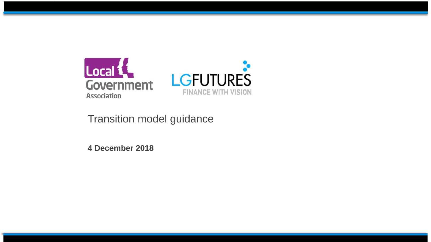

# Transition model guidance

<span id="page-0-0"></span>**4 December 2018**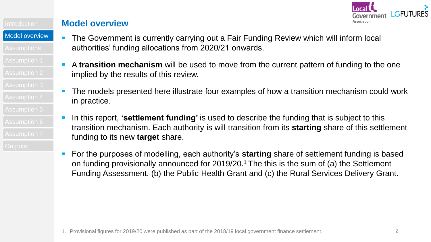

[Model overview](#page-0-0)

- The Government is currently carrying out a Fair Funding Review which will inform local authorities' funding allocations from 2020/21 onwards.
- A **transition mechanism** will be used to move from the current pattern of funding to the one implied by the results of this review.
- The models presented here illustrate four examples of how a transition mechanism could work in practice.
- In this report, **'settlement funding'** is used to describe the funding that is subject to this transition mechanism. Each authority is will transition from its **starting** share of this settlement funding to its new **target** share.
- For the purposes of modelling, each authority's **starting** share of settlement funding is based on funding provisionally announced for  $2019/20$ .<sup>1</sup> The this is the sum of (a) the Settlement Funding Assessment, (b) the Public Health Grant and (c) the Rural Services Delivery Grant.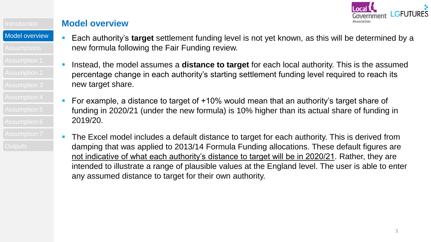

#### **Model overview**

- Each authority's **target** settlement funding level is not yet known, as this will be determined by a new formula following the Fair Funding review.
	- Instead, the model assumes a **distance to target** for each local authority. This is the assumed percentage change in each authority's starting settlement funding level required to reach its new target share.
	- For example, a distance to target of +10% would mean that an authority's target share of funding in 2020/21 (under the new formula) is 10% higher than its actual share of funding in 2019/20.
	- The Excel model includes a default distance to target for each authority. This is derived from damping that was applied to 2013/14 Formula Funding allocations. These default figures are not indicative of what each authority's distance to target will be in 2020/21. Rather, they are intended to illustrate a range of plausible values at the England level. The user is able to enter any assumed distance to target for their own authority.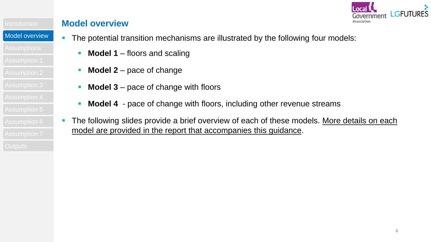

- [Model overview](#page-0-0)
	- The potential transition mechanisms are illustrated by the following four models:
		- **Model 1** floors and scaling
		- **Model 2** pace of change
		- **Model 3** pace of change with floors
		- **Model 4** pace of change with floors, including other revenue streams
		- The following slides provide a brief overview of each of these models. More details on each model are provided in the report that accompanies this guidance.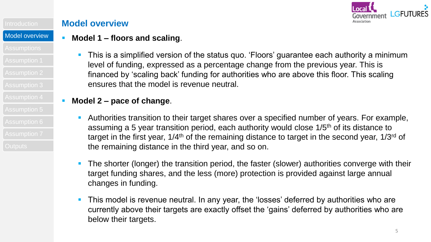

#### **Model overview**

# **Model 1 – floors and scaling**.

- 
- 
- 
- 
- 
- 
- 

**This is a simplified version of the status quo. 'Floors' guarantee each authority a minimum** level of funding, expressed as a percentage change from the previous year. This is financed by 'scaling back' funding for authorities who are above this floor. This scaling ensures that the model is revenue neutral.

# **Model 2 – pace of change**.

- Authorities transition to their target shares over a specified number of years. For example, assuming a 5 year transition period, each authority would close 1/5<sup>th</sup> of its distance to target in the first year, 1/4<sup>th</sup> of the remaining distance to target in the second year, 1/3<sup>rd</sup> of the remaining distance in the third year, and so on.
- **The shorter (longer) the transition period, the faster (slower) authorities converge with their** target funding shares, and the less (more) protection is provided against large annual changes in funding.
- **This model is revenue neutral. In any year, the 'losses' deferred by authorities who are** currently above their targets are exactly offset the 'gains' deferred by authorities who are below their targets.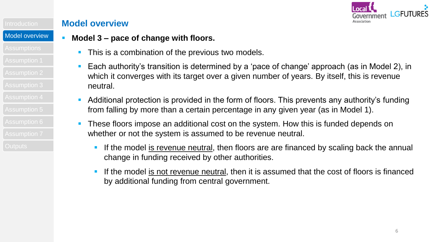

[Model overview](#page-0-0)

### **Model 3 – pace of change with floors.**

- **This is a combination of the previous two models.**
- **Each authority's transition is determined by a 'pace of change' approach (as in Model 2), in** which it converges with its target over a given number of years. By itself, this is revenue neutral.
- **Additional protection is provided in the form of floors. This prevents any authority's funding** from falling by more than a certain percentage in any given year (as in Model 1).
- **These floors impose an additional cost on the system. How this is funded depends on** whether or not the system is assumed to be revenue neutral.
	- If the model is revenue neutral, then floors are are financed by scaling back the annual change in funding received by other authorities.
	- If the model is not revenue neutral, then it is assumed that the cost of floors is financed by additional funding from central government.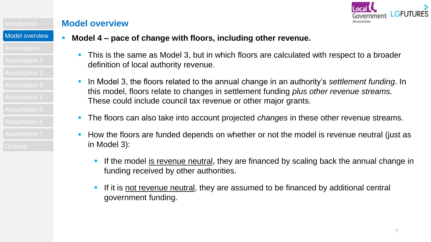

#### [Model overview](#page-0-0)

- 
- 
- 
- 
- 
- 
- 
- 
- 

## **Model 4 – pace of change with floors, including other revenue.**

- **This is the same as Model 3, but in which floors are calculated with respect to a broader** definition of local authority revenue.
- In Model 3, the floors related to the annual change in an authority's *settlement funding*. In this model, floors relate to changes in settlement funding *plus other revenue streams.*  These could include council tax revenue or other major grants.
- The floors can also take into account projected *changes* in these other revenue streams.
- How the floors are funded depends on whether or not the model is revenue neutral (just as in Model 3):
	- If the model is revenue neutral, they are financed by scaling back the annual change in funding received by other authorities.
	- If it is not revenue neutral, they are assumed to be financed by additional central government funding.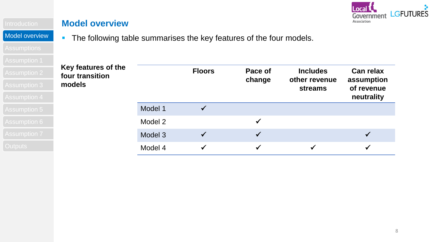

[Model overview](#page-0-0)

• The following table summarises the key features of the four models.

| 7 NOUMERVILLE       |                                                  |         |               |                   |                                                    |                                              |
|---------------------|--------------------------------------------------|---------|---------------|-------------------|----------------------------------------------------|----------------------------------------------|
| <b>Assumption 2</b> | Key features of the<br>four transition<br>models |         | <b>Floors</b> | Pace of<br>change | <b>Includes</b><br>other revenue<br><b>streams</b> | <b>Can relax</b><br>assumption<br>of revenue |
| <b>Assumption 3</b> |                                                  |         |               |                   |                                                    |                                              |
| <b>Assumption 4</b> |                                                  |         |               |                   |                                                    | neutrality                                   |
| Assumption 5        |                                                  | Model 1 |               |                   |                                                    |                                              |
| <b>Assumption 6</b> |                                                  | Model 2 |               |                   |                                                    |                                              |
| <b>Assumption 7</b> |                                                  | Model 3 |               |                   |                                                    |                                              |
| <b>Outputs</b>      |                                                  | Model 4 |               |                   |                                                    |                                              |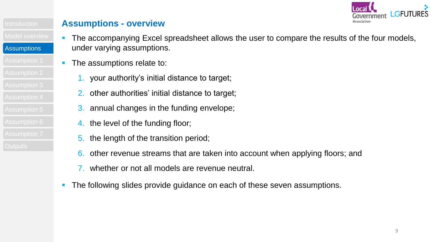

#### **Assumptions - overview**

- The accompanying Excel spreadsheet allows the user to compare the results of the four models, under varying assumptions.
	- The assumptions relate to:
		- 1. your authority's initial distance to target;
		- 2. other authorities' initial distance to target;
		- 3. annual changes in the funding envelope;
		- 4. the level of the funding floor;
		- 5. the length of the transition period;
		- 6. other revenue streams that are taken into account when applying floors; and
		- whether or not all models are revenue neutral.
	- The following slides provide guidance on each of these seven assumptions.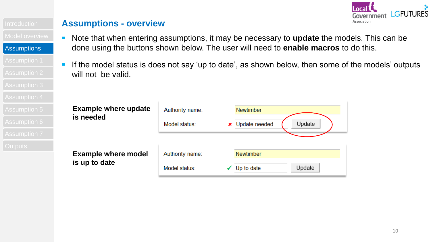

#### **Assumptions - overview**

- Note that when entering assumptions, it may be necessary to **update** the models. This can be done using the buttons shown below. The user will need to **enable macros** to do this.
- If the model status is does not say 'up to date', as shown below, then some of the models' outputs will not be valid.

| Assumption 5        | <b>Example where update</b> | Authority name: | <b>Newtimber</b>          |
|---------------------|-----------------------------|-----------------|---------------------------|
| Assumption 6        | is needed                   | Model status:   | Update<br>× Update needed |
| <b>Assumption 7</b> |                             |                 |                           |
| <b>Dutputs</b>      |                             |                 |                           |
|                     | <b>Example where model</b>  | Authority name: | <b>Newtimber</b>          |
|                     | is up to date               |                 | Update<br>Up to date      |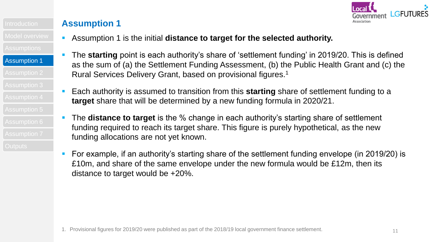

- Assumption 1 is the initial **distance to target for the selected authority.**
- The **starting** point is each authority's share of 'settlement funding' in 2019/20. This is defined as the sum of (a) the Settlement Funding Assessment, (b) the Public Health Grant and (c) the Rural Services Delivery Grant, based on provisional figures.<sup>1</sup>
- Each authority is assumed to transition from this **starting** share of settlement funding to a **target** share that will be determined by a new funding formula in 2020/21.
- The **distance to target** is the % change in each authority's starting share of settlement funding required to reach its target share. This figure is purely hypothetical, as the new funding allocations are not yet known.
- For example, if an authority's starting share of the settlement funding envelope (in 2019/20) is £10m, and share of the same envelope under the new formula would be £12m, then its distance to target would be +20%.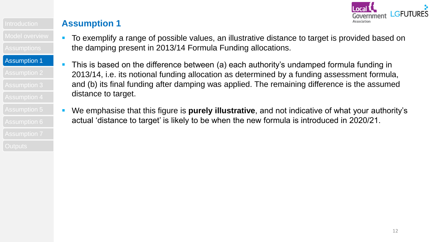

- To exemplify a range of possible values, an illustrative distance to target is provided based on the damping present in 2013/14 Formula Funding allocations.
- This is based on the difference between (a) each authority's undamped formula funding in 2013/14, i.e. its notional funding allocation as determined by a funding assessment formula, and (b) its final funding after damping was applied. The remaining difference is the assumed distance to target.
	- We emphasise that this figure is **purely illustrative**, and not indicative of what your authority's actual 'distance to target' is likely to be when the new formula is introduced in 2020/21.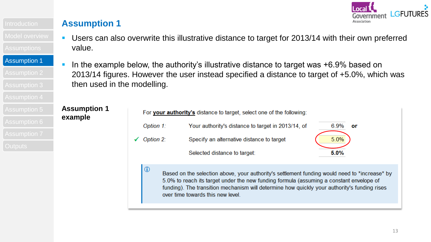

- Users can also overwrite this illustrative distance to target for 2013/14 with their own preferred value.
- [Assumption 1](#page-0-0) In the example below, the authority's illustrative distance to target was +6.9% based on 2013/14 figures. However the user instead specified a distance to target of +5.0%, which was then used in the modelling.

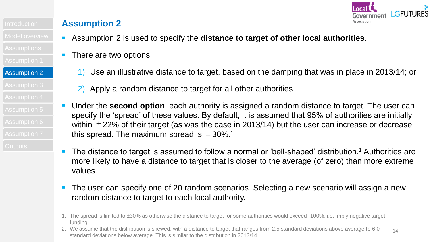

[Assumption 2](#page-0-0) Assumption 2

- Assumption 2 is used to specify the **distance to target of other local authorities**.
- There are two options:
	- 1) Use an illustrative distance to target, based on the damping that was in place in 2013/14; or
	- 2) Apply a random distance to target for all other authorities.
- Under the **second option**, each authority is assigned a random distance to target. The user can specify the 'spread' of these values. By default, it is assumed that 95% of authorities are initially within  $\pm$  22% of their target (as was the case in 2013/14) but the user can increase or decrease this spread. The maximum spread is  $\pm$  30%.<sup>1</sup>
- The distance to target is assumed to follow a normal or 'bell-shaped' distribution.<sup>1</sup> Authorities are more likely to have a distance to target that is closer to the average (of zero) than more extreme values.
- The user can specify one of 20 random scenarios. Selecting a new scenario will assign a new random distance to target to each local authority.
- 1. The spread is limited to ±30% as otherwise the distance to target for some authorities would exceed -100%, i.e. imply negative target funding.
- 14 2. We assume that the distribution is skewed, with a distance to target that ranges from 2.5 standard deviations above average to 6.0 standard deviations below average. This is similar to the distribution in 2013/14.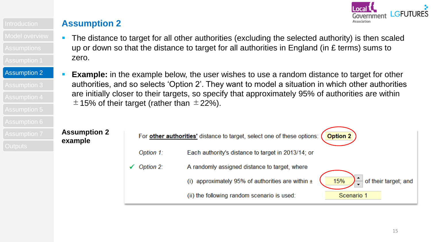

[Assumption 2](#page-0-0) Assumption 2

- The distance to target for all other authorities (excluding the selected authority) is then scaled up or down so that the distance to target for all authorities in England (in £ terms) sums to zero.
- **Example:** in the example below, the user wishes to use a random distance to target for other authorities, and so selects 'Option 2'. They want to model a situation in which other authorities are initially closer to their targets, so specify that approximately 95% of authorities are within  $\pm$  15% of their target (rather than  $\pm$  22%).

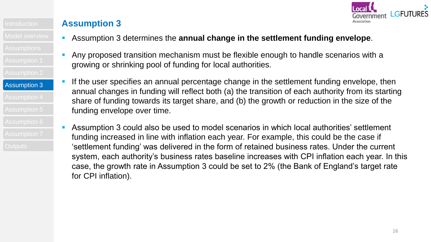

- Assumption 3 determines the **annual change in the settlement funding envelope**.
- Any proposed transition mechanism must be flexible enough to handle scenarios with a growing or shrinking pool of funding for local authorities.
- If the user specifies an annual percentage change in the settlement funding envelope, then annual changes in funding will reflect both (a) the transition of each authority from its starting share of funding towards its target share, and (b) the growth or reduction in the size of the funding envelope over time.
- Assumption 3 could also be used to model scenarios in which local authorities' settlement funding increased in line with inflation each year. For example, this could be the case if 'settlement funding' was delivered in the form of retained business rates. Under the current system, each authority's business rates baseline increases with CPI inflation each year. In this case, the growth rate in Assumption 3 could be set to 2% (the Bank of England's target rate for CPI inflation).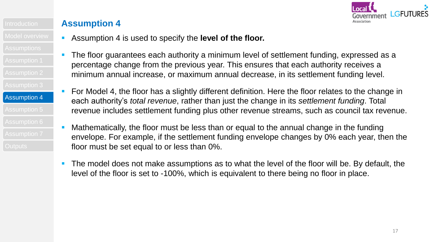

- Assumption 4 is used to specify the **level of the floor.**
- The floor guarantees each authority a minimum level of settlement funding, expressed as a percentage change from the previous year. This ensures that each authority receives a minimum annual increase, or maximum annual decrease, in its settlement funding level.
- For Model 4, the floor has a slightly different definition. Here the floor relates to the change in each authority's *total revenue*, rather than just the change in its *settlement funding*. Total revenue includes settlement funding plus other revenue streams, such as council tax revenue.
- Mathematically, the floor must be less than or equal to the annual change in the funding envelope. For example, if the settlement funding envelope changes by 0% each year, then the floor must be set equal to or less than 0%.
- The model does not make assumptions as to what the level of the floor will be. By default, the level of the floor is set to -100%, which is equivalent to there being no floor in place.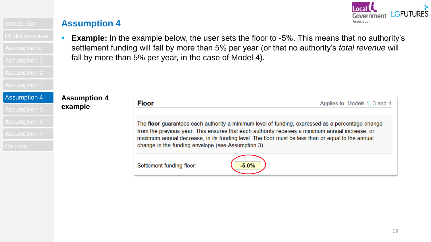

**Assumption 4**

**example**

- 
- 
- 

#### [Assumption 4](#page-0-0)

# **Example:** In the example below, the user sets the floor to -5%. This means that no authority's settlement funding will fall by more than 5% per year (or that no authority's *total revenue* will fall by more than 5% per year, in the case of Model 4).

| <b>Floor</b>                                       | Applies to: Models 1, 3 and 4                                                                                                                                                                                                                                                                            |  |
|----------------------------------------------------|----------------------------------------------------------------------------------------------------------------------------------------------------------------------------------------------------------------------------------------------------------------------------------------------------------|--|
| change in the funding envelope (see Assumption 3). | The floor guarantees each authority a minimum level of funding, expressed as a percentage change<br>from the previous year. This ensures that each authority receives a minimum annual increase, or<br>maximum annual decrease, in its funding level. The floor must be less than or equal to the annual |  |
| Settlement funding floor:                          | $-5.0%$                                                                                                                                                                                                                                                                                                  |  |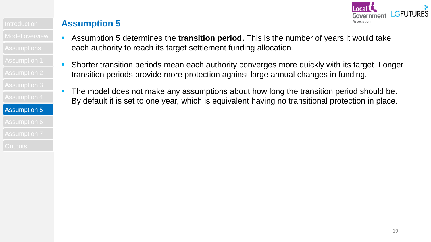

- Assumption 5 determines the **transition period.** This is the number of years it would take each authority to reach its target settlement funding allocation.
	- Shorter transition periods mean each authority converges more quickly with its target. Longer transition periods provide more protection against large annual changes in funding.
	- The model does not make any assumptions about how long the transition period should be. By default it is set to one year, which is equivalent having no transitional protection in place.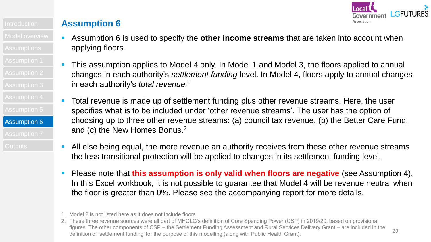

- Assumption 6 is used to specify the **other income streams** that are taken into account when applying floors.
- This assumption applies to Model 4 only. In Model 1 and Model 3, the floors applied to annual changes in each authority's *settlement funding* level. In Model 4, floors apply to annual changes in each authority's *total revenue.*<sup>1</sup>
- Total revenue is made up of settlement funding plus other revenue streams. Here, the user specifies what is to be included under 'other revenue streams'. The user has the option of choosing up to three other revenue streams: (a) council tax revenue, (b) the Better Care Fund, and (c) the New Homes Bonus.<sup>2</sup>
- All else being equal, the more revenue an authority receives from these other revenue streams the less transitional protection will be applied to changes in its settlement funding level.
- Please note that **this assumption is only valid when floors are negative** (see Assumption 4). In this Excel workbook, it is not possible to guarantee that Model 4 will be revenue neutral when the floor is greater than 0%. Please see the accompanying report for more details.

<sup>1.</sup> Model 2 is not listed here as it does not include floors.

<sup>2.</sup> These three revenue sources were all part of MHCLG's definition of Core Spending Power (CSP) in 2019/20, based on provisional figures. The other components of CSP – the Settlement Funding Assessment and Rural Services Delivery Grant – are included in the definition of 'settlement funding' for the purpose of this modelling (along with Public Health Grant).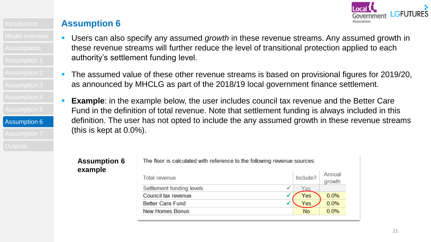

- Users can also specify any assumed *growth* in these revenue streams. Any assumed growth in these revenue streams will further reduce the level of transitional protection applied to each authority's settlement funding level.
- The assumed value of these other revenue streams is based on provisional figures for 2019/20, as announced by MHCLG as part of the 2018/19 local government finance settlement.
- **Example**: in the example below, the user includes council tax revenue and the Better Care Fund in the definition of total revenue. Note that settlement funding is always included in this definition. The user has not opted to include the any assumed growth in these revenue streams (this is kept at 0.0%).

#### **Assumption 6 example**

[Assumption 6](#page-0-0)

The floor is calculated with reference to the following revenue sources:

| <b>Total revenue</b>                      | Include?   | Annual<br>growth |
|-------------------------------------------|------------|------------------|
| Settlement funding levels<br>$\checkmark$ | <u>Yes</u> |                  |
| Council tax revenue                       | Yes        | 0.0%             |
| <b>Better Care Fund</b>                   | Yes        | 0.0%             |
| <b>New Homes Bonus</b>                    | <b>No</b>  | 0.0%             |
|                                           |            |                  |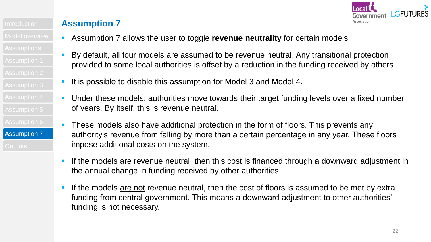

[Assumption 7](#page-0-0) Assumption 7

- Assumption 7 allows the user to toggle **revenue neutrality** for certain models.
- By default, all four models are assumed to be revenue neutral. Any transitional protection provided to some local authorities is offset by a reduction in the funding received by others.
- It is possible to disable this assumption for Model 3 and Model 4.
- Under these models, authorities move towards their target funding levels over a fixed number of years. By itself, this is revenue neutral.
- **These models also have additional protection in the form of floors. This prevents any** authority's revenue from falling by more than a certain percentage in any year. These floors impose additional costs on the system.
- If the models are revenue neutral, then this cost is financed through a downward adjustment in the annual change in funding received by other authorities.
- If the models are not revenue neutral, then the cost of floors is assumed to be met by extra funding from central government. This means a downward adjustment to other authorities' funding is not necessary.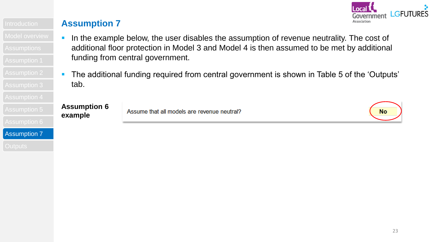

- In the example below, the user disables the assumption of revenue neutrality. The cost of additional floor protection in Model 3 and Model 4 is then assumed to be met by additional funding from central government.
	- **The additional funding required from central government is shown in Table 5 of the 'Outputs'** tab.

# Assumption 5**Assumption 6**<br>Assumption 6**Assumption 7**<br>Assumption 7 **example**

Assume that all models are revenue neutral?

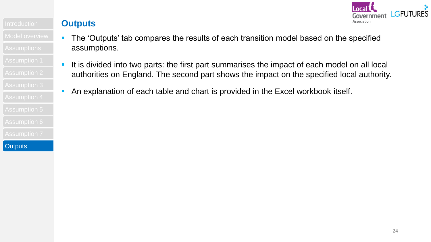

**Outputs**

- The 'Outputs' tab compares the results of each transition model based on the specified assumptions.
- If it is divided into two parts: the first part summarises the impact of each model on all local authorities on England. The second part shows the impact on the specified local authority.
	- An explanation of each table and chart is provided in the Excel workbook itself.

**[Outputs](#page-0-0)**